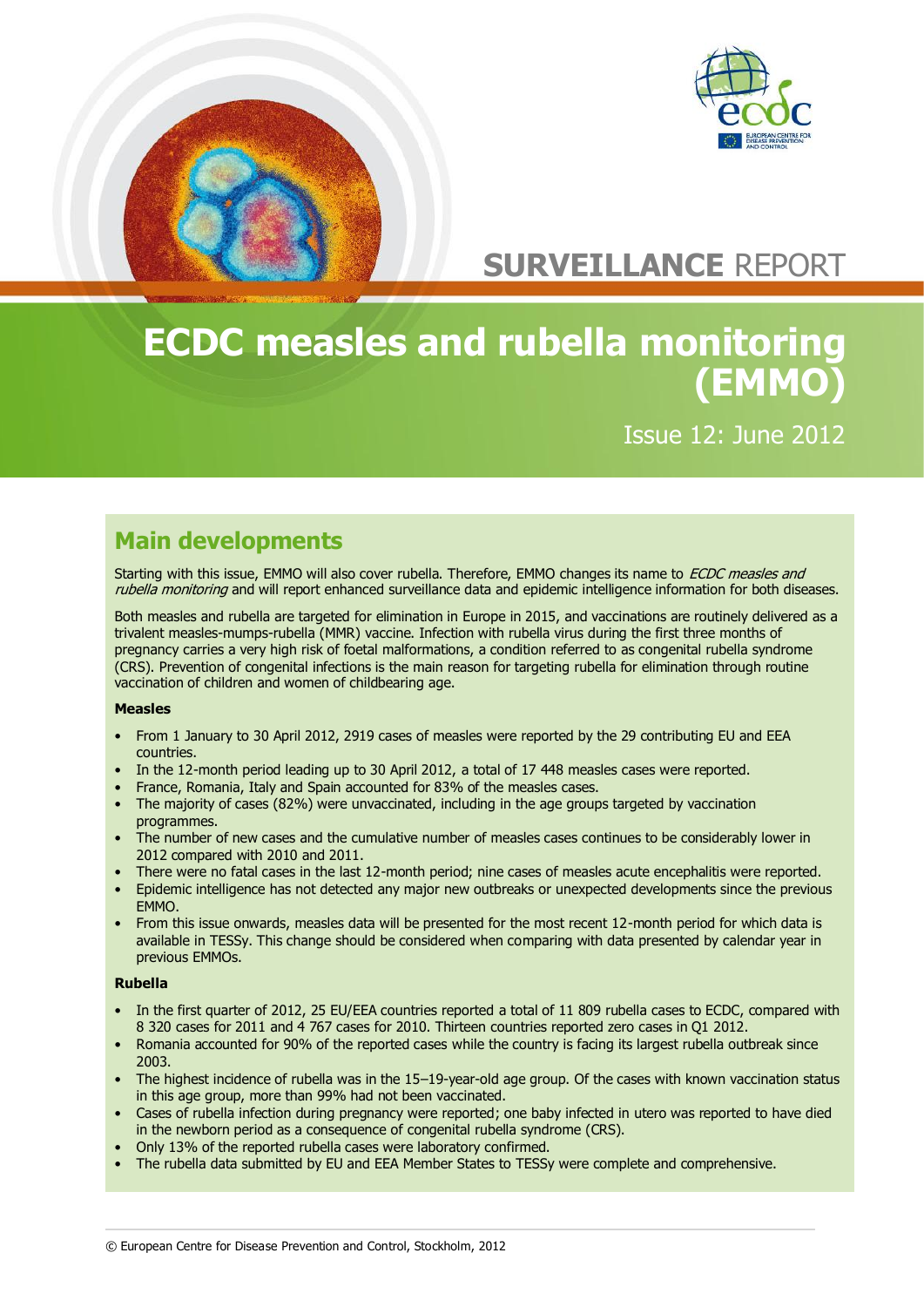

# **SURVEILLANCE** REPORT

# **ECDC measles and rubella monitoring (EMMO)**

Issue 12: June 2012

# **Main developments**

Starting with this issue, EMMO will also cover rubella. Therefore, EMMO changes its name to *ECDC measles and* rubella monitoring and will report enhanced surveillance data and epidemic intelligence information for both diseases.

Both measles and rubella are targeted for elimination in Europe in 2015, and vaccinations are routinely delivered as a trivalent measles-mumps-rubella (MMR) vaccine. Infection with rubella virus during the first three months of pregnancy carries a very high risk of foetal malformations, a condition referred to as congenital rubella syndrome (CRS). Prevention of congenital infections is the main reason for targeting rubella for elimination through routine vaccination of children and women of childbearing age.

### **Measles**

- From 1 January to 30 April 2012, 2919 cases of measles were reported by the 29 contributing EU and EEA countries.
- In the 12-month period leading up to 30 April 2012, a total of 17 448 measles cases were reported.
- France, Romania, Italy and Spain accounted for 83% of the measles cases.
- The majority of cases (82%) were unvaccinated, including in the age groups targeted by vaccination programmes.
- The number of new cases and the cumulative number of measles cases continues to be considerably lower in 2012 compared with 2010 and 2011.
- There were no fatal cases in the last 12-month period; nine cases of measles acute encephalitis were reported.
- Epidemic intelligence has not detected any major new outbreaks or unexpected developments since the previous EMMO.
- From this issue onwards, measles data will be presented for the most recent 12-month period for which data is available in TESSy. This change should be considered when comparing with data presented by calendar year in previous EMMOs.

### **Rubella**

- In the first quarter of 2012, 25 EU/EEA countries reported a total of 11 809 rubella cases to ECDC, compared with 8 320 cases for 2011 and 4 767 cases for 2010. Thirteen countries reported zero cases in Q1 2012.
- Romania accounted for 90% of the reported cases while the country is facing its largest rubella outbreak since 2003.
- The highest incidence of rubella was in the 15–19-year-old age group. Of the cases with known vaccination status in this age group, more than 99% had not been vaccinated.
- Cases of rubella infection during pregnancy were reported; one baby infected in utero was reported to have died in the newborn period as a consequence of congenital rubella syndrome (CRS).
- Only 13% of the reported rubella cases were laboratory confirmed.
- The rubella data submitted by EU and EEA Member States to TESSy were complete and comprehensive.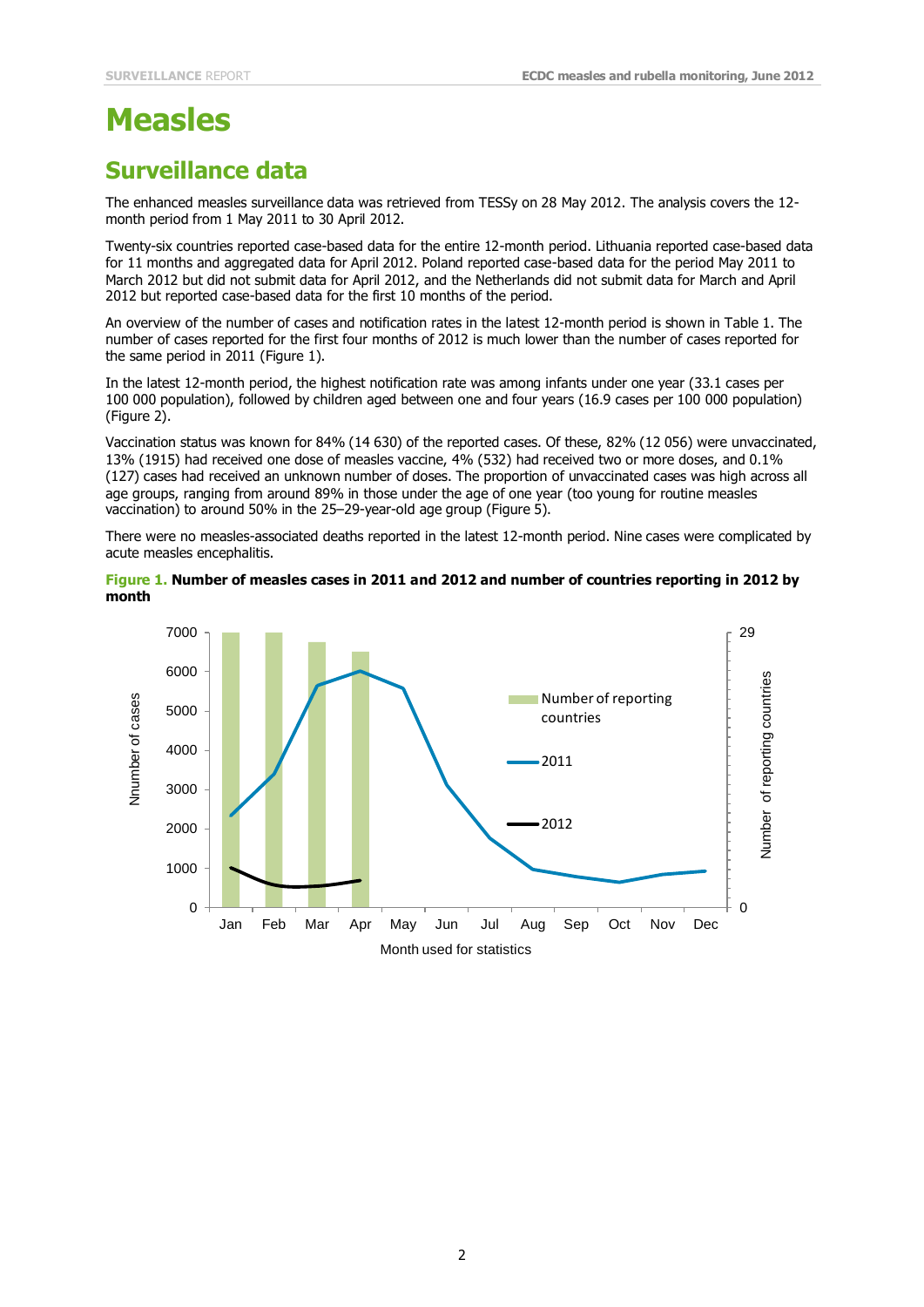# **Measles**

# **Surveillance data**

The enhanced measles surveillance data was retrieved from TESSy on 28 May 2012. The analysis covers the 12 month period from 1 May 2011 to 30 April 2012.

Twenty-six countries reported case-based data for the entire 12-month period. Lithuania reported case-based data for 11 months and aggregated data for April 2012. Poland reported case-based data for the period May 2011 to March 2012 but did not submit data for April 2012, and the Netherlands did not submit data for March and April 2012 but reported case-based data for the first 10 months of the period.

An overview of the number of cases and notification rates in the latest 12-month period is shown in Table 1. The number of cases reported for the first four months of 2012 is much lower than the number of cases reported for the same period in 2011 (Figure 1).

In the latest 12-month period, the highest notification rate was among infants under one year (33.1 cases per 100 000 population), followed by children aged between one and four years (16.9 cases per 100 000 population) (Figure 2).

Vaccination status was known for 84% (14 630) of the reported cases. Of these, 82% (12 056) were unvaccinated, 13% (1915) had received one dose of measles vaccine, 4% (532) had received two or more doses, and 0.1% (127) cases had received an unknown number of doses. The proportion of unvaccinated cases was high across all age groups, ranging from around 89% in those under the age of one year (too young for routine measles vaccination) to around 50% in the 25–29-year-old age group (Figure 5).

There were no measles-associated deaths reported in the latest 12-month period. Nine cases were complicated by acute measles encephalitis.

### **Figure 1. Number of measles cases in 2011 and 2012 and number of countries reporting in 2012 by month**

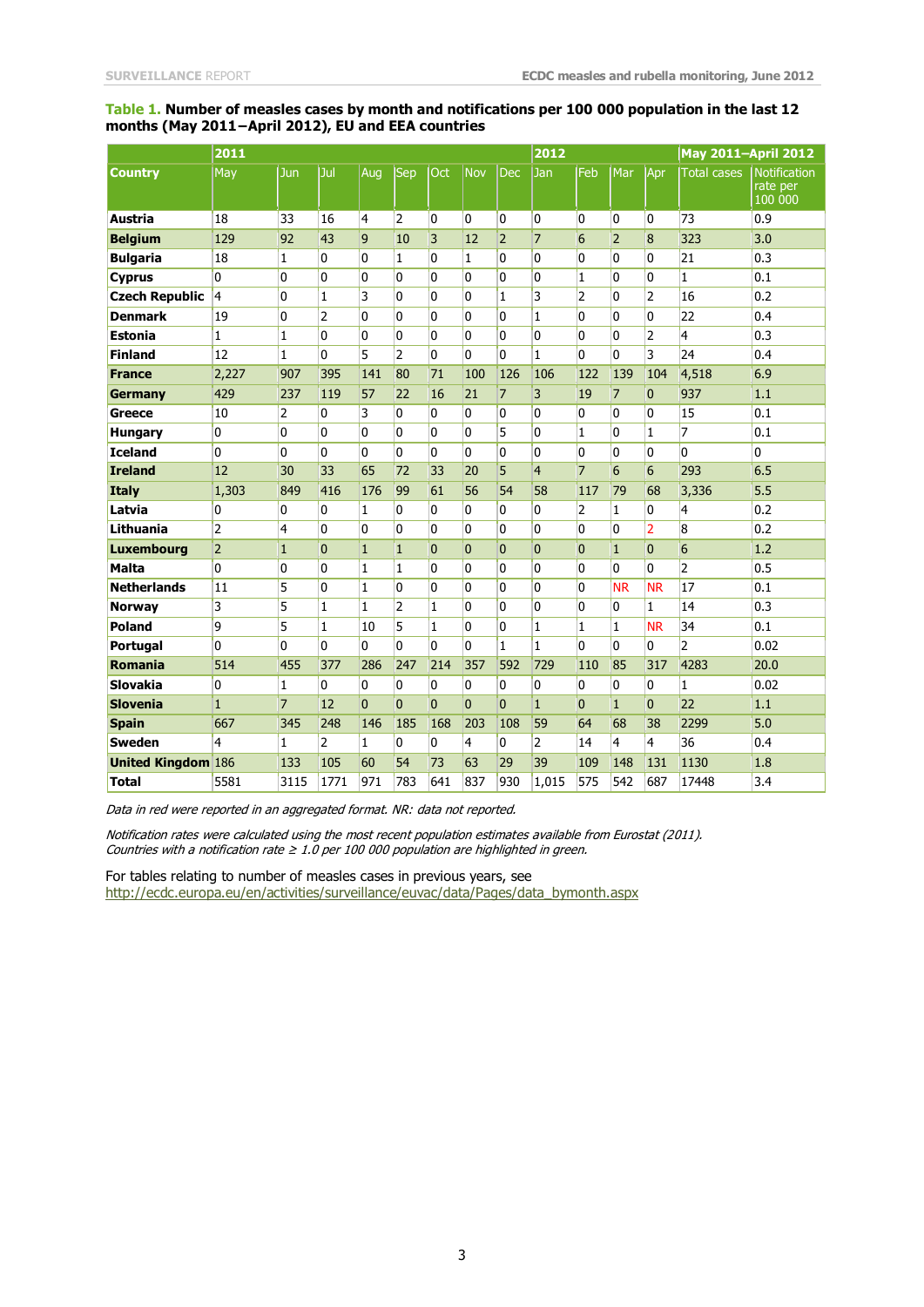### **Table 1. Number of measles cases by month and notifications per 100 000 population in the last 12 months (May 2011−April 2012), EU and EEA countries**

|                           | 2011           |                |                |              |                |                |            |                | 2012           |                |                |                | <b>May 2011-April 2012</b> |                                     |
|---------------------------|----------------|----------------|----------------|--------------|----------------|----------------|------------|----------------|----------------|----------------|----------------|----------------|----------------------------|-------------------------------------|
| <b>Country</b>            | May            | Jun            | Jul            | Aug          | Sep            | Oct            | <b>Nov</b> | <b>Dec</b>     | Jan            | Feb            | Mar            | Apr            | <b>Total cases</b>         | Notification<br>rate per<br>100 000 |
| Austria                   | 18             | 33             | 16             | 4            | $\overline{2}$ | 0              | 0          | 0              | 0              | 0              | 0              | $\overline{0}$ | 73                         | 0.9                                 |
| <b>Belgium</b>            | 129            | 92             | 43             | 9            | 10             | 3              | 12         | $\overline{2}$ | $\overline{7}$ | 6              | $\overline{2}$ | 8              | 323                        | 3.0                                 |
| <b>Bulgaria</b>           | 18             | 1              | 0              | 0            | $\mathbf{1}$   | 0              | 1          | 0              | 0              | 0              | 0              | $\mathbf{0}$   | 21                         | 0.3                                 |
| <b>Cyprus</b>             | 0              | 0              | 0              | 0            | 0              | 0              | 0          | 0              | 0              | $\mathbf{1}$   | 0              | 0              | $\mathbf{1}$               | 0.1                                 |
| <b>Czech Republic</b>     | $\overline{4}$ | 0              | 1              | 3            | 0              | 0              | 0          | $\mathbf{1}$   | 3              | 2              | 0              | $\overline{2}$ | 16                         | 0.2                                 |
| <b>Denmark</b>            | 19             | 0              | 2              | 0            | 0              | 0              | 0          | 0              | $\mathbf{1}$   | 0              | 0              | $\mathbf{0}$   | 22                         | 0.4                                 |
| <b>Estonia</b>            | $\mathbf{1}$   | 1              | $\overline{0}$ | 0            | 0              | 0              | 0          | 0              | $\mathbf{0}$   | 0              | 0              | $\overline{2}$ | 4                          | 0.3                                 |
| <b>Finland</b>            | 12             | $\mathbf{1}$   | 0              | 5            | $\overline{2}$ | 0              | 0          | 0              | $\mathbf{1}$   | 0              | 0              | 3              | 24                         | 0.4                                 |
| <b>France</b>             | 2,227          | 907            | 395            | 141          | 80             | 71             | 100        | 126            | 106            | 122            | 139            | 104            | 4,518                      | 6.9                                 |
| Germany                   | 429            | 237            | 119            | 57           | 22             | 16             | 21         | $\overline{7}$ | 3              | 19             | $\overline{7}$ | $\mathbf{0}$   | 937                        | 1.1                                 |
| Greece                    | 10             | 2              | 0              | 3            | $\overline{0}$ | 0              | $\Omega$   | 0              | $\mathbf{0}$   | 0              | 0              | $\Omega$       | 15                         | 0.1                                 |
| <b>Hungary</b>            | $\overline{0}$ | 0              | 0              | 0            | 0              | 0              | 0          | 5              | 0              | $\mathbf{1}$   | $\mathbf{0}$   | $\mathbf{1}$   | $\overline{7}$             | 0.1                                 |
| <b>Iceland</b>            | 0              | 0              | 0              | 0            | 0              | 0              | 0          | 0              | 0              | 0              | 0              | 0              | 0                          | 0                                   |
| <b>Ireland</b>            | 12             | 30             | 33             | 65           | 72             | 33             | 20         | 5              | $\overline{4}$ | $\overline{7}$ | 6              | 6              | 293                        | 6.5                                 |
| <b>Italy</b>              | 1,303          | 849            | 416            | 176          | 99             | 61             | 56         | 54             | 58             | 117            | 79             | 68             | 3,336                      | 5.5                                 |
| Latvia                    | $\overline{0}$ | 0              | 0              | $\mathbf{1}$ | $\overline{0}$ | 0              | 0          | 0              | 0              | $\overline{2}$ | $\mathbf{1}$   | $\mathbf{0}$   | 4                          | 0.2                                 |
| Lithuania                 | $\overline{2}$ | 4              | 0              | 0            | 0              | 0              | 0          | 0              | 0              | 0              | 0              | $\overline{2}$ | 8                          | 0.2                                 |
| <b>Luxembourg</b>         | $\overline{2}$ | $\mathbf{1}$   | $\mathbf{0}$   | $\mathbf{1}$ | $\mathbf{1}$   | $\overline{0}$ | $\Omega$   | $\overline{0}$ | $\Omega$       | $\mathbf{0}$   | $\mathbf{1}$   | $\overline{0}$ | $6\overline{6}$            | 1.2                                 |
| <b>Malta</b>              | 0              | 0              | $\mathbf{0}$   | $\mathbf{1}$ | $\mathbf{1}$   | 0              | $\Omega$   | 0              | 0              | 0              | 0              | 0              | $\overline{2}$             | 0.5                                 |
| <b>Netherlands</b>        | 11             | 5              | 0              | $\mathbf{1}$ | 0              | 0              | 0          | 0              | 0              | 0              | <b>NR</b>      | <b>NR</b>      | 17                         | 0.1                                 |
| <b>Norway</b>             | 3              | 5              | 1              | $\mathbf{1}$ | $\overline{2}$ | $\mathbf{1}$   | 0          | 0              | 0              | 0              | 0              | $\mathbf{1}$   | 14                         | 0.3                                 |
| <b>Poland</b>             | 9              | 5              | 1              | 10           | 5              | 1              | 0          | 0              | $\mathbf{1}$   | 1              | $\mathbf{1}$   | <b>NR</b>      | 34                         | 0.1                                 |
| <b>Portugal</b>           | $\mathbf{0}$   | 0              | 0              | 0            | 0              | 0              | 0          | $\mathbf{1}$   | $\mathbf{1}$   | 0              | 0              | 0              | $\overline{2}$             | 0.02                                |
| <b>Romania</b>            | 514            | 455            | 377            | 286          | 247            | 214            | 357        | 592            | 729            | 110            | 85             | 317            | 4283                       | 20.0                                |
| <b>Slovakia</b>           | $\overline{0}$ | 1              | 0              | 0            | 0              | 0              | 0          | 0              | 0              | 0              | 0              | 0              | 1                          | 0.02                                |
| <b>Slovenia</b>           | $\mathbf{1}$   | $\overline{7}$ | 12             | $\Omega$     | $\overline{0}$ | $\overline{0}$ | $\Omega$   | $\Omega$       | $\mathbf{1}$   | $\overline{0}$ | $\mathbf{1}$   | $\overline{0}$ | 22                         | 1.1                                 |
| <b>Spain</b>              | 667            | 345            | 248            | 146          | 185            | 168            | 203        | 108            | 59             | 64             | 68             | 38             | 2299                       | 5.0                                 |
| <b>Sweden</b>             | 4              | $\mathbf{1}$   | 2              | $\mathbf{1}$ | 0              | 0              | 4          | 0              | 2              | 14             | $\overline{4}$ | 4              | 36                         | 0.4                                 |
| <b>United Kingdom 186</b> |                | 133            | 105            | 60           | 54             | 73             | 63         | 29             | 39             | 109            | 148            | 131            | 1130                       | 1.8                                 |
| <b>Total</b>              | 5581           | 3115           | 1771           | 971          | 783            | 641            | 837        | 930            | 1,015          | 575            | 542            | 687            | 17448                      | 3.4                                 |

Data in red were reported in an aggregated format. NR: data not reported.

Notification rates were calculated using the most recent population estimates available from Eurostat (2011). Countries with a notification rate  $\geq 1.0$  per 100 000 population are highlighted in green.

For tables relating to number of measles cases in previous years, see [http://ecdc.europa.eu/en/activities/surveillance/euvac/data/Pages/data\\_bymonth.aspx](http://ecdc.europa.eu/en/activities/surveillance/euvac/data/Pages/data_bymonth.aspx)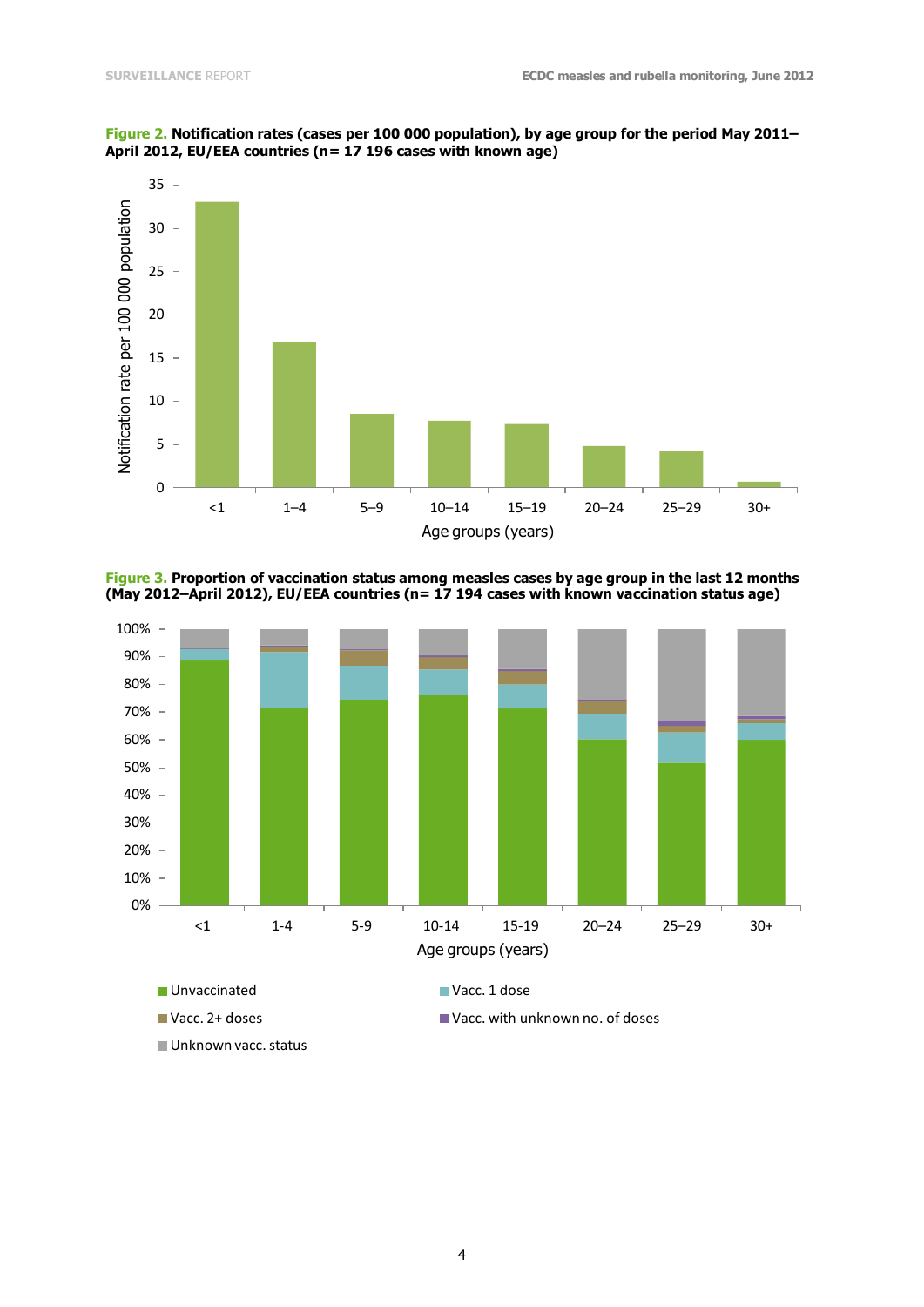

**Figure 2. Notification rates (cases per 100 000 population), by age group for the period May 2011– April 2012, EU/EEA countries (n= 17 196 cases with known age)**

**Figure 3. Proportion of vaccination status among measles cases by age group in the last 12 months (May 2012–April 2012), EU/EEA countries (n= 17 194 cases with known vaccination status age)**

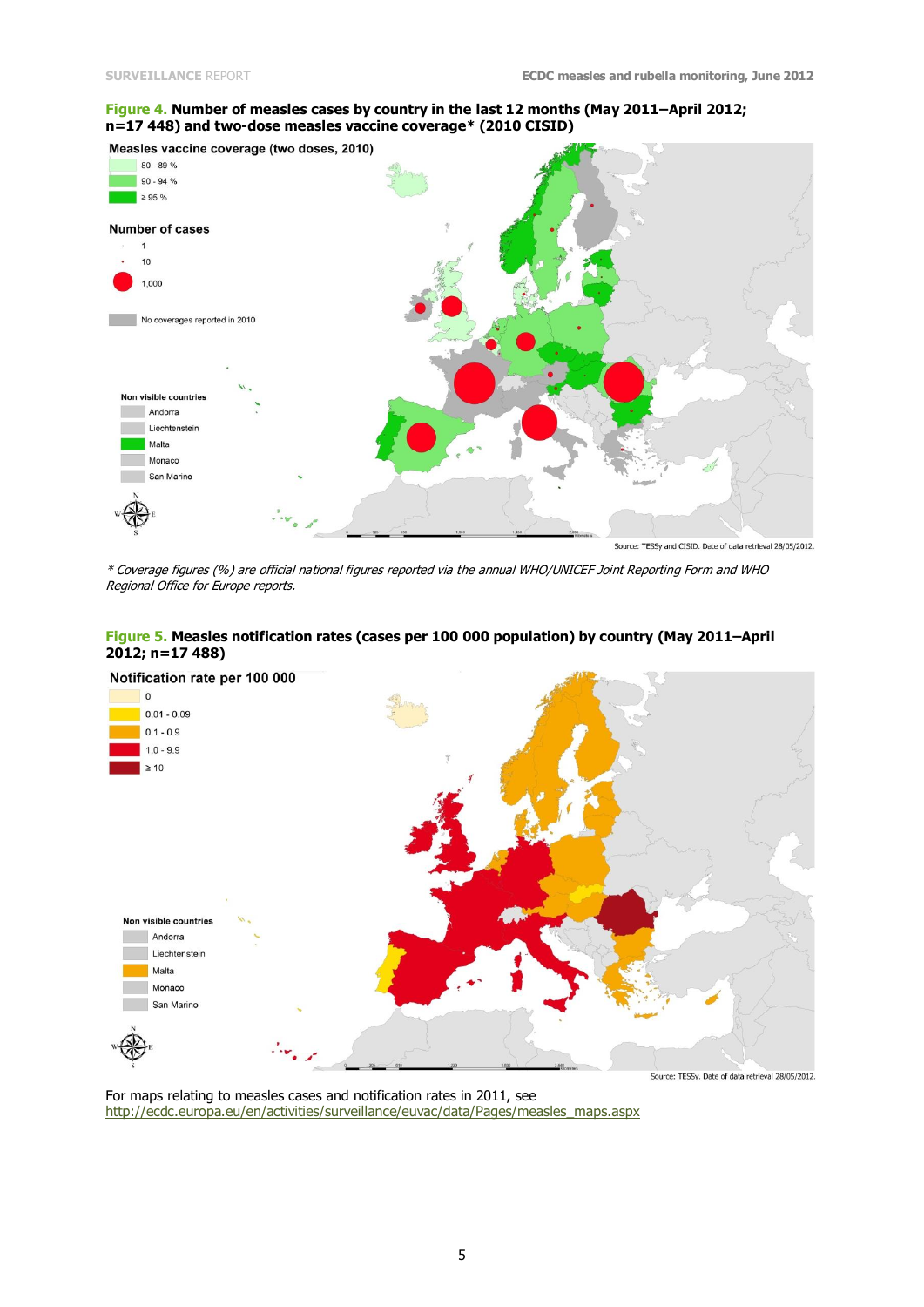### **Figure 4. Number of measles cases by country in the last 12 months (May 2011–April 2012; n=17 448) and two-dose measles vaccine coverage\* (2010 CISID)**



Source: TESSy and CISID. Date of data retrieval 28/05/2012.

\* Coverage figures (%) are official national figures reported via the annual WHO/UNICEF Joint Reporting Form and WHO Regional Office for Europe reports.

### **Figure 5. Measles notification rates (cases per 100 000 population) by country (May 2011–April 2012; n=17 488)**



For maps relating to measles cases and notification rates in 2011, see [http://ecdc.europa.eu/en/activities/surveillance/euvac/data/Pages/measles\\_maps.aspx](http://ecdc.europa.eu/en/activities/surveillance/euvac/data/Pages/measles_maps.aspx)

#### 5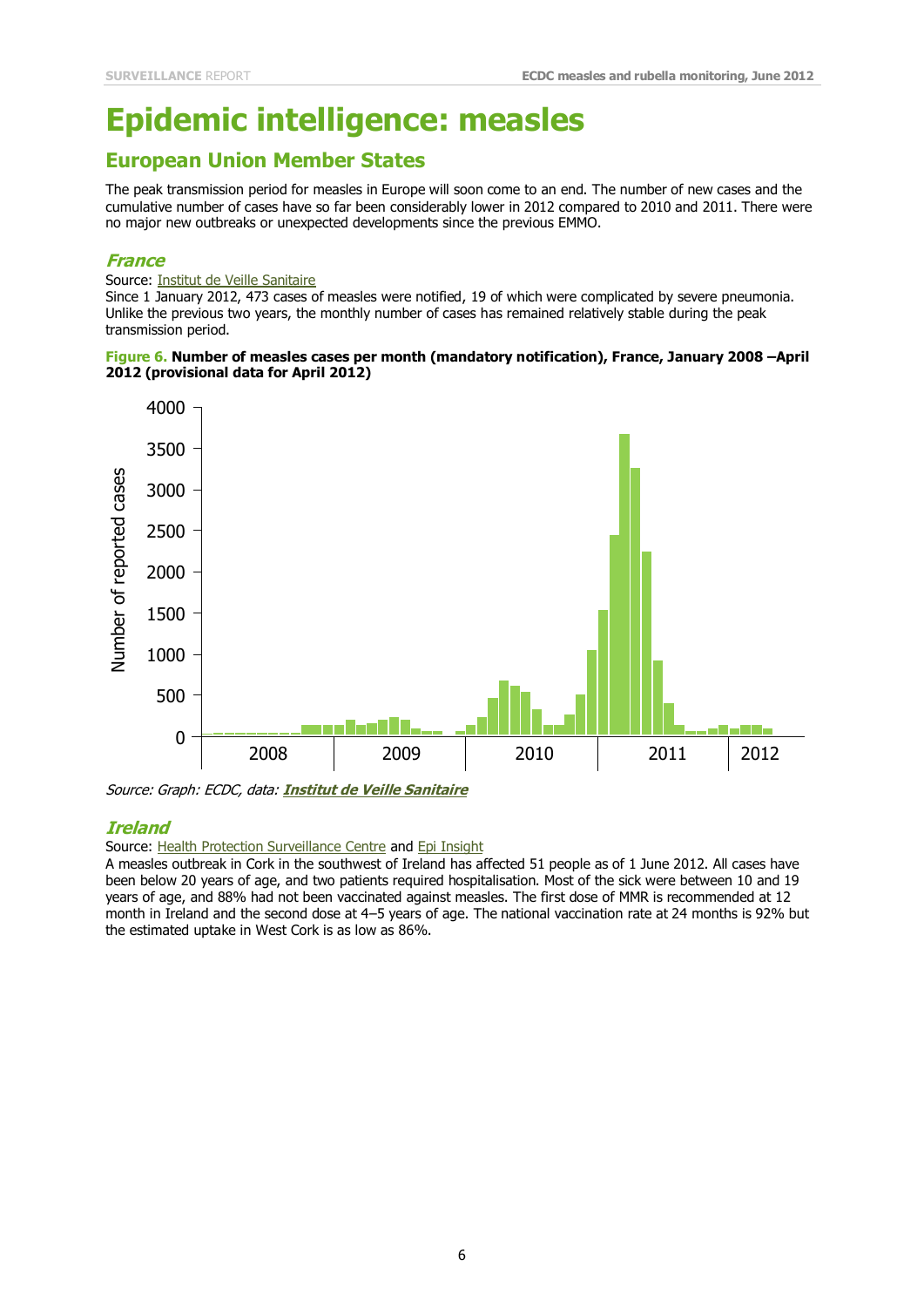# **Epidemic intelligence: measles**

## **European Union Member States**

The peak transmission period for measles in Europe will soon come to an end. The number of new cases and the cumulative number of cases have so far been considerably lower in 2012 compared to 2010 and 2011. There were no major new outbreaks or unexpected developments since the previous EMMO.

### **France**

#### Source: **Institut de Veille Sanitaire**

Since 1 January 2012, 473 cases of measles were notified, 19 of which were complicated by severe pneumonia. Unlike the previous two years, the monthly number of cases has remained relatively stable during the peak transmission period.

### **Figure 6. Number of measles cases per month (mandatory notification), France, January 2008 –April 2012 (provisional data for April 2012)**



Source: Graph: ECDC, data: **[Institut de Veille Sanitaire](http://www.invs.sante.fr/Dossiers-thematiques/Maladies-infectieuses/Maladies-a-prevention-vaccinale/Rougeole/Points-d-actualites/Epidemie-de-rougeole-en-France.-Actualisation-des-donnees-de-surveillance-au-24-mai-2012)**

### **Ireland**

### Source: [Health Protection Surveillance Centre](http://www.hpsc.ie/hpsc/News/MainBody,13446,en.html) and [Epi Insight](http://ndsc.newsweaver.ie/epiinsight/dllmrzt7dc07guhc3jcrzt?a=1&p=24661455&t=17517774)

A measles outbreak in Cork in the southwest of Ireland has affected 51 people as of 1 June 2012. All cases have been below 20 years of age, and two patients required hospitalisation. Most of the sick were between 10 and 19 years of age, and 88% had not been vaccinated against measles. The first dose of MMR is recommended at 12 month in Ireland and the second dose at 4–5 years of age. The national vaccination rate at 24 months is 92% but the estimated uptake in West Cork is as low as 86%.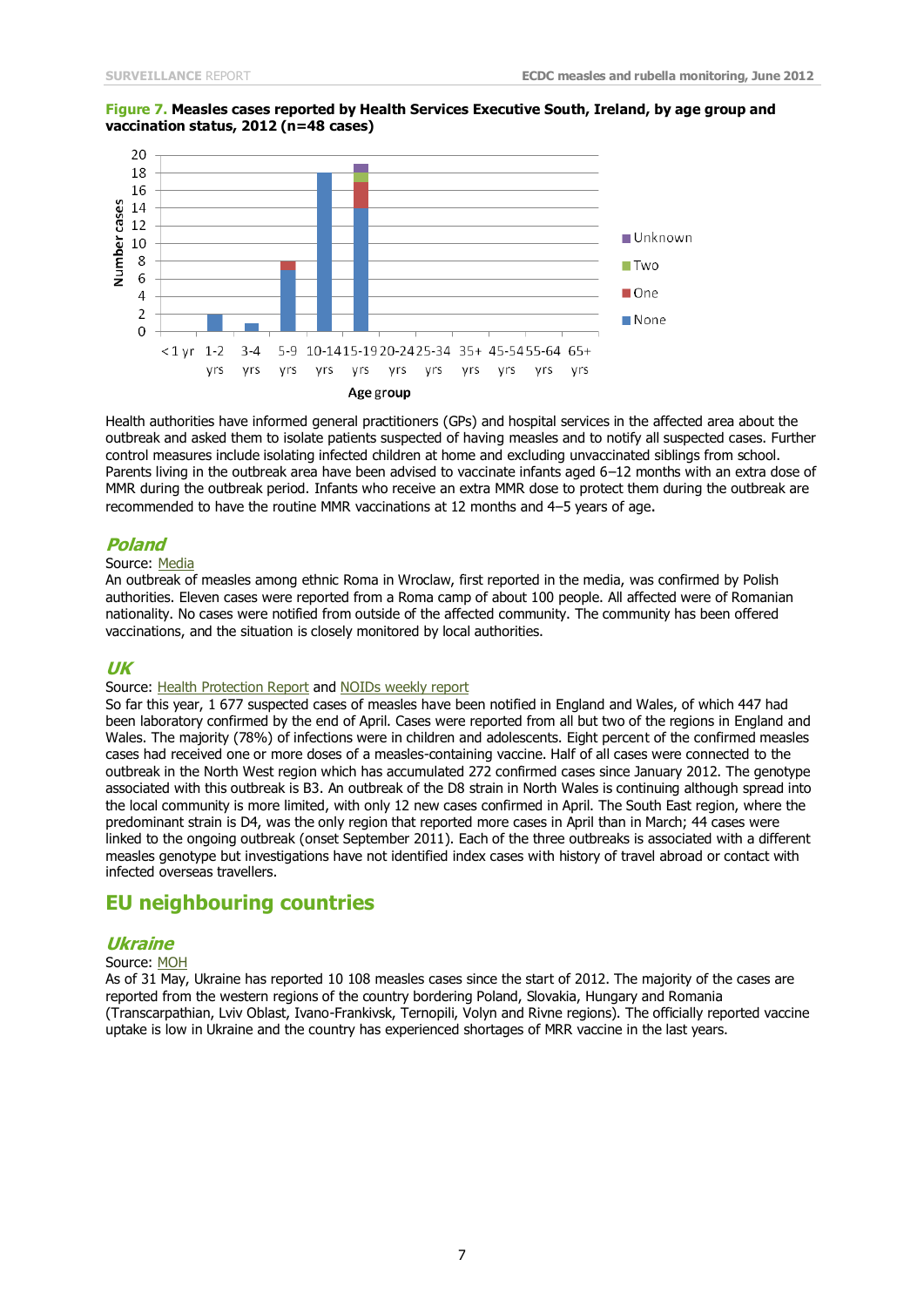### **Figure 7. Measles cases reported by Health Services Executive South, Ireland, by age group and vaccination status, 2012 (n=48 cases)**



Health authorities have informed general practitioners (GPs) and hospital services in the affected area about the outbreak and asked them to isolate patients suspected of having measles and to notify all suspected cases. Further control measures include isolating infected children at home and excluding unvaccinated siblings from school. Parents living in the outbreak area have been advised to vaccinate infants aged 6–12 months with an extra dose of MMR during the outbreak period. Infants who receive an extra MMR dose to protect them during the outbreak are recommended to have the routine MMR vaccinations at 12 months and 4–5 years of age.

### **Poland**

#### Source: [Media](http://wroclaw.gazeta.pl/wroclaw/1,35751,11853730,Romowie_z_obozowiska_zapadaja_na_odre__Grozi_epidemia_.html)

An outbreak of measles among ethnic Roma in Wroclaw, first reported in the media, was confirmed by Polish authorities. Eleven cases were reported from a Roma camp of about 100 people. All affected were of Romanian nationality. No cases were notified from outside of the affected community. The community has been offered vaccinations, and the situation is closely monitored by local authorities.

### **UK**

### Source: [Health Protection Report](http://www.hpa.org.uk/hpr/archives/2012/news2112.htm#msls) and [NOIDs weekly report](http://www.hpa.org.uk/hpr/archives/2012/news2112.htm#msls)

So far this year, 1 677 suspected cases of measles have been notified in England and Wales, of which 447 had been laboratory confirmed by the end of April. Cases were reported from all but two of the regions in England and Wales. The majority (78%) of infections were in children and adolescents. Eight percent of the confirmed measles cases had received one or more doses of a measles-containing vaccine. Half of all cases were connected to the outbreak in the North West region which has accumulated 272 confirmed cases since January 2012. The genotype associated with this outbreak is B3. An outbreak of the D8 strain in North Wales is continuing although spread into the local community is more limited, with only 12 new cases confirmed in April. The South East region, where the predominant strain is D4, was the only region that reported more cases in April than in March; 44 cases were linked to the ongoing outbreak (onset September 2011). Each of the three outbreaks is associated with a different measles genotype but investigations have not identified index cases with history of travel abroad or contact with infected overseas travellers.

## **EU neighbouring countries**

### **Ukraine**

#### Source: [MOH](http://www.moz.gov.ua/ua/portal/pre_20120601_2.html)

As of 31 May, Ukraine has reported 10 108 measles cases since the start of 2012. The majority of the cases are reported from the western regions of the country bordering Poland, Slovakia, Hungary and Romania (Transcarpathian, Lviv Oblast, Ivano-Frankivsk, Ternopili, Volyn and Rivne regions). The officially reported vaccine uptake is low in Ukraine and the country has experienced shortages of MRR vaccine in the last years.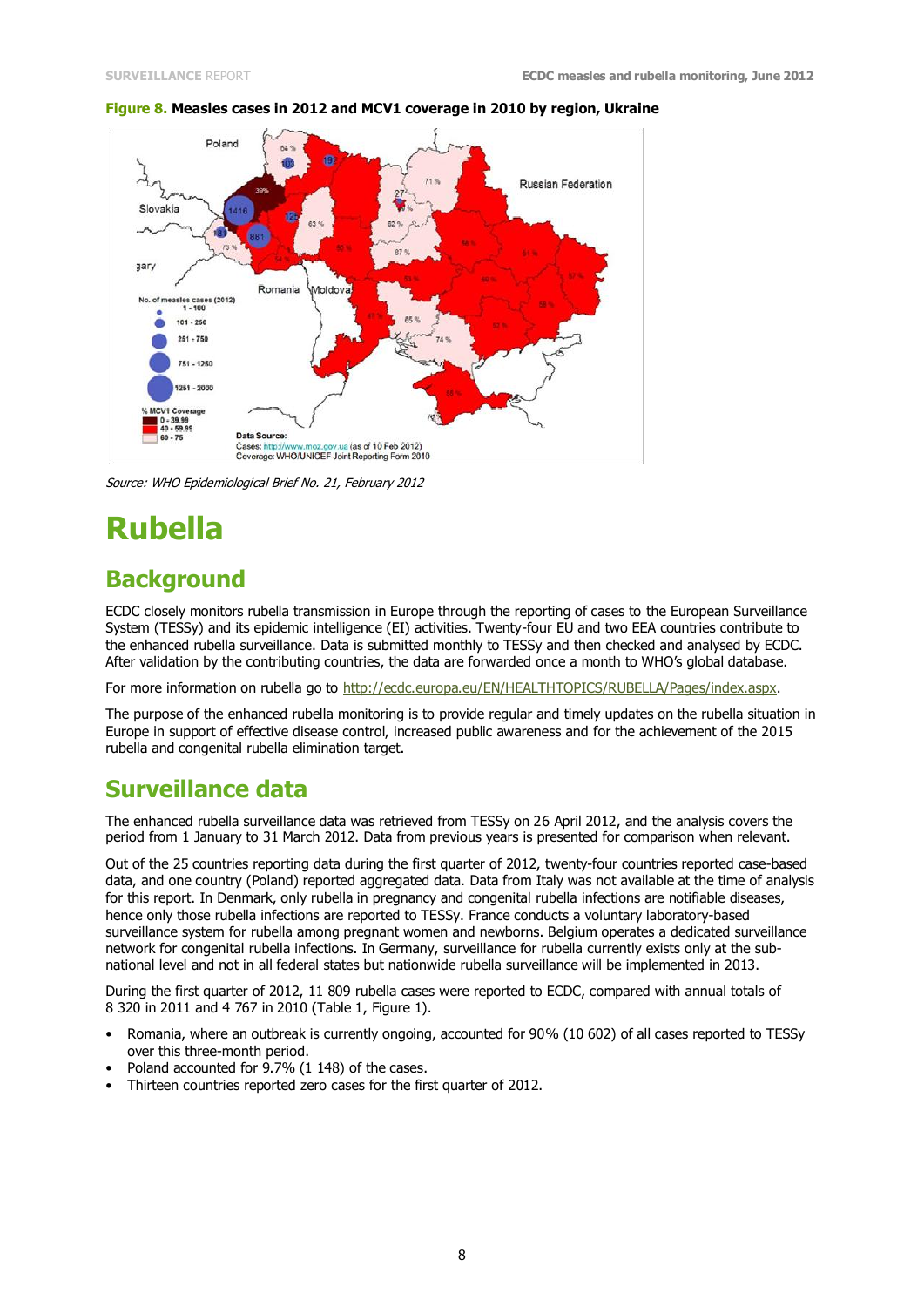

#### **Figure 8. Measles cases in 2012 and MCV1 coverage in 2010 by region, Ukraine**

Source: WHO Epidemiological Brief No. 21, February 2012

# **Rubella**

## **Background**

ECDC closely monitors rubella transmission in Europe through the reporting of cases to the European Surveillance System (TESSy) and its epidemic intelligence (EI) activities. Twenty-four EU and two EEA countries contribute to the enhanced rubella surveillance. Data is submitted monthly to TESSy and then checked and analysed by ECDC. After validation by the contributing countries, the data are forwarded once a month to WHO's global database.

For more information on rubella go to [http://ecdc.europa.eu/EN/HEALTHTOPICS/RUBELLA/Pages/index.aspx.](http://ecdc.europa.eu/EN/HEALTHTOPICS/RUBELLA/Pages/index.aspx)

The purpose of the enhanced rubella monitoring is to provide regular and timely updates on the rubella situation in Europe in support of effective disease control, increased public awareness and for the achievement of the 2015 rubella and congenital rubella elimination target.

## **Surveillance data**

The enhanced rubella surveillance data was retrieved from TESSy on 26 April 2012, and the analysis covers the period from 1 January to 31 March 2012. Data from previous years is presented for comparison when relevant.

Out of the 25 countries reporting data during the first quarter of 2012, twenty-four countries reported case-based data, and one country (Poland) reported aggregated data. Data from Italy was not available at the time of analysis for this report. In Denmark, only rubella in pregnancy and congenital rubella infections are notifiable diseases, hence only those rubella infections are reported to TESSy. France conducts a voluntary laboratory-based surveillance system for rubella among pregnant women and newborns. Belgium operates a dedicated surveillance network for congenital rubella infections. In Germany, surveillance for rubella currently exists only at the subnational level and not in all federal states but nationwide rubella surveillance will be implemented in 2013.

During the first quarter of 2012, 11 809 rubella cases were reported to ECDC, compared with annual totals of 8 320 in 2011 and 4 767 in 2010 (Table 1, Figure 1).

- Romania, where an outbreak is currently ongoing, accounted for 90% (10 602) of all cases reported to TESSy over this three-month period.
- Poland accounted for 9.7% (1 148) of the cases.
- Thirteen countries reported zero cases for the first quarter of 2012.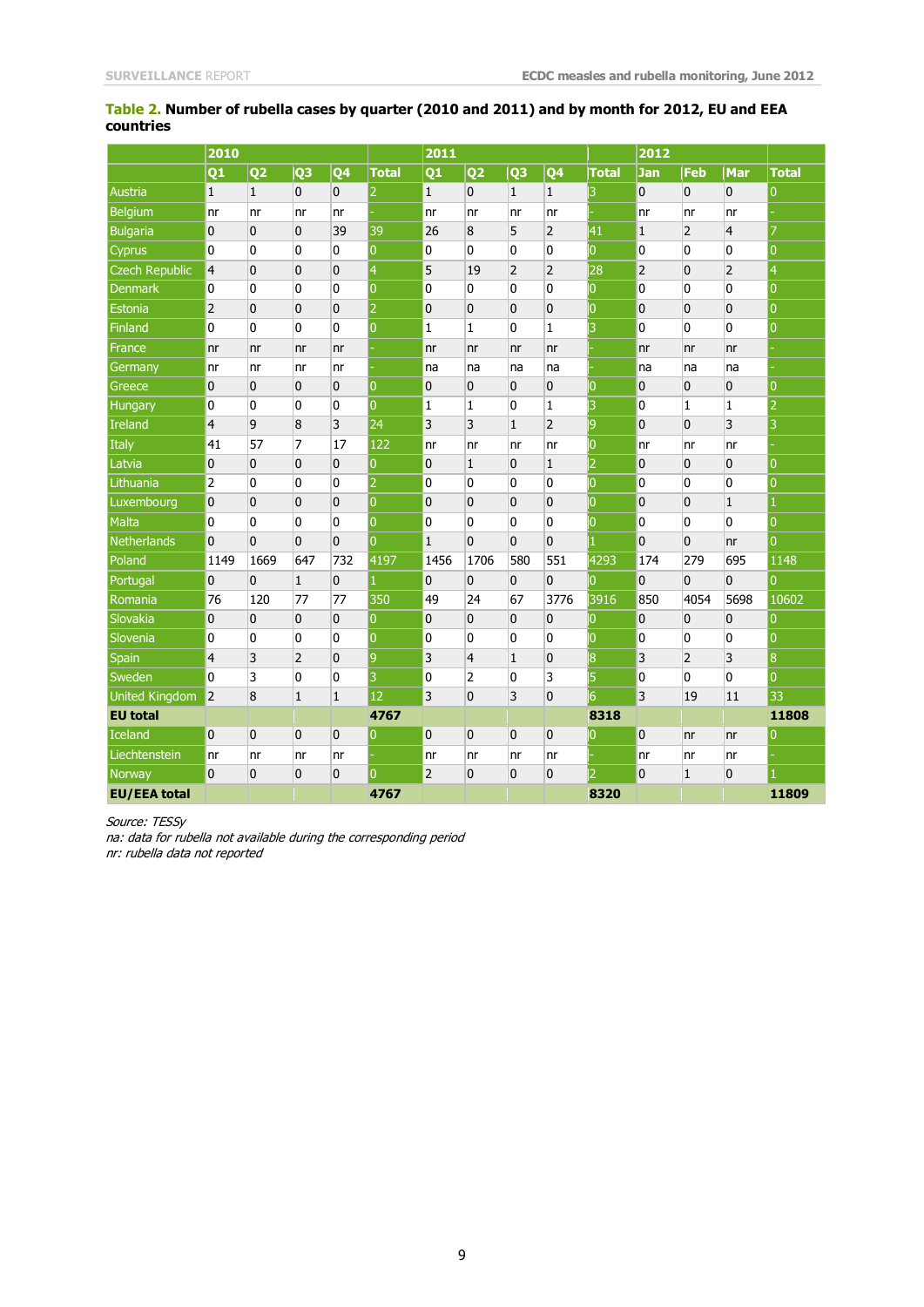### **Table 2. Number of rubella cases by quarter (2010 and 2011) and by month for 2012, EU and EEA countries**

|                       | 2010                    |                |                | 2011           |                |                |                |                | 2012           |                |                |                |                |                |
|-----------------------|-------------------------|----------------|----------------|----------------|----------------|----------------|----------------|----------------|----------------|----------------|----------------|----------------|----------------|----------------|
|                       | Q <sub>1</sub>          | Q <sub>2</sub> | Q <sub>3</sub> | Q4             | <b>Total</b>   | Q1             | Q <sub>2</sub> | Q <sub>3</sub> | Q <sub>4</sub> | <b>Total</b>   | <b>Jan</b>     | Feb            | Mar            | <b>Total</b>   |
| Austria               | $\vert$ 1               | $\mathbf{1}$   | 0              | 0              | 12.            | $\mathbf{1}$   | 0              | $\mathbf{1}$   | $\mathbf{1}$   | 13             | $\mathbf{0}$   | $\overline{0}$ | $\overline{0}$ | $\overline{0}$ |
| <b>Belgium</b>        | nr                      | nr             | nr             | nr             |                | nr             | nr             | nr             | nr             |                | nr             | Inr            | nr             |                |
| <b>Bulgaria</b>       | $\overline{0}$          | $\mathbf 0$    | $\overline{0}$ | 39             | 39             | 26             | 8              | 5              | $\overline{2}$ | 41             | $\mathbf{1}$   | $\overline{2}$ | $\overline{4}$ | $\overline{7}$ |
| Cyprus                | 0                       | 0              | 0              | 0              | $\overline{0}$ | 0              | 0              | 0              | 0              | O              | 0              | 0              | 0              | $\overline{0}$ |
| <b>Czech Republic</b> | $\overline{4}$          | 0              | $\mathbf 0$    | 0              | $\overline{4}$ | 5              | 19             | $\overline{2}$ | 2              | 28             | 2              | $\overline{0}$ | $\overline{2}$ | $\vert 4$      |
| <b>Denmark</b>        | 0                       | 0              | $\mathbf{0}$   | 0              | $\overline{0}$ | $\mathbf{0}$   | 0              | $\mathbf{0}$   | 0              | $\overline{0}$ | 0              | $\overline{0}$ | $\overline{0}$ | $\overline{0}$ |
| Estonia               | $\overline{2}$          | 0              | $\mathbf 0$    | 0              | 2              | $\overline{0}$ | 0              | $\overline{0}$ | 0              | 10             | 0              | $\overline{0}$ | $\overline{0}$ | $\overline{0}$ |
| <b>Finland</b>        | 0                       | 0              | 0              | 0              | $\overline{0}$ | $\mathbf{1}$   | $\mathbf{1}$   | 0              | $\mathbf{1}$   | 3              | 0              | 0              | 0              | $\overline{0}$ |
| France                | n <sub>r</sub>          | n <sub>r</sub> | nr             | n <sub>r</sub> |                | n <sub>r</sub> | nr             | n <sub>r</sub> | nr             |                | nr             | nr             | nr             |                |
| Germany               | nr                      | nr             | nr             | nr             |                | na             | na             | na             | na             |                | na             | na             | na             |                |
| Greece                | 0                       | $\mathbf{0}$   | 0              | 0              | $\overline{0}$ | $\mathbf{0}$   | 0              | $\mathbf{0}$   | 0              | 10             | 0              | 0              | $\overline{0}$ | $\overline{0}$ |
| Hungary               | 0                       | 0              | 0              | 0              | $\overline{0}$ | $\mathbf{1}$   | 1              | 0              | $\mathbf{1}$   | 3              | 0              | $\mathbf{1}$   | $\mathbf{1}$   | $\overline{2}$ |
| Ireland               | 4                       | 9              | 8              | 3              | 24             | 3              | 3              | $\mathbf{1}$   | 2              | 9              | 0              | $\overline{0}$ | $\overline{3}$ | 3              |
| Italy                 | 41                      | 57             | 7              | 17             | 122            | nr             | nr             | nr             | nr             | 10             | nr             | nr             | nr             |                |
| Latvia                | $\overline{0}$          | $\mathbf{0}$   | $\overline{0}$ | 0              | $\overline{0}$ | $\mathbf{0}$   | $\mathbf{1}$   | $\mathbf{0}$   | $\mathbf{1}$   | 12             | $\overline{0}$ | $\overline{0}$ | $\overline{0}$ | $\overline{0}$ |
| Lithuania             | $\overline{2}$          | 0              | 0              | 0              | $\overline{2}$ | $\mathbf 0$    | 0              | 0              | 0              | 10             | 0              | 0              | 0              | 10             |
| Luxembourg            | $\overline{0}$          | $\mathbf{0}$   | $\mathbf 0$    | $\mathbf 0$    | $\overline{0}$ | $\mathbf{0}$   | 0              | $\overline{0}$ | 0              | $\overline{0}$ | 0              | $\overline{0}$ | $\mathbf{1}$   | $\mathbf{1}$   |
| <b>Malta</b>          | 0                       | 0              | $\mathbf{0}$   | $\mathbf{0}$   | $\overline{0}$ | $\overline{0}$ | $\overline{0}$ | $\mathbf{0}$   | 0              | lО             | $\overline{0}$ | $\overline{0}$ | $\overline{0}$ | l0             |
| <b>Netherlands</b>    | $\overline{0}$          | 0              | $\mathbf 0$    | $\mathbf 0$    | $\overline{0}$ | $\mathbf{1}$   | 0              | $\mathbf 0$    | 0              |                | 0              | $\overline{0}$ | nr             | $\overline{0}$ |
| Poland                | 1149                    | 1669           | 647            | 732            | 4197           | 1456           | 1706           | 580            | 551            | 4293           | 174            | 279            | 695            | 1148           |
| Portugal              | $\overline{0}$          | 0              | $\mathbf{1}$   | 0              | 1              | $\mathbf 0$    | 0              | $\overline{0}$ | 0              | IО             | 0              | $\overline{0}$ | $\overline{0}$ | $\overline{0}$ |
| Romania               | 76                      | 120            | 77             | 77             | 350            | 49             | 24             | 67             | 3776           | 3916           | 850            | 4054           | 5698           | 10602          |
| Slovakia              | $\overline{\mathbf{0}}$ | 0              | $\mathbf 0$    | 0              | $\overline{0}$ | $\mathbf 0$    | 0              | $\overline{0}$ | 0              | IО             | 0              | $\overline{0}$ | $\overline{0}$ | $\overline{0}$ |
| Slovenia              | 0                       | 0              | 0              | 0              | $\overline{0}$ | $\mathbf 0$    | 0              | 0              | 0              | ÌО             | 0              | 0              | 0              | l0             |
| Spain                 | $\overline{4}$          | 3              | $\overline{2}$ | $\mathbf 0$    | $\vert 9$      | 3              | $\overline{4}$ | $\mathbf 1$    | 0              | 8              | 3              | $\overline{2}$ | $\overline{3}$ | 8              |
| Sweden                | $\overline{0}$          | 3              | $\mathbf{0}$   | 0              | 3              | $\mathbf{0}$   | 2              | $\mathbf 0$    | 3              | 5              | 0              | $\overline{0}$ | $\overline{0}$ | $\overline{0}$ |
| <b>United Kingdom</b> | 2                       | 8              | $\mathbf{1}$   | $\mathbf{1}$   | 12             | 3              | $\overline{0}$ | 3              | 0              | l6             | 3              | 19             | 11             | 33             |
| <b>EU</b> total       |                         |                |                |                | 4767           |                |                |                |                | 8318           |                |                |                | 11808          |
| <b>Iceland</b>        | $\overline{0}$          | 0              | $\overline{0}$ | $\overline{0}$ | $\overline{0}$ | $\overline{0}$ | $\overline{0}$ | $\overline{0}$ | 0              | 10             | 0              | nr             | nr             | 10             |
| Liechtenstein         | nr                      | nr             | nr             | nr             |                | nr             | nr             | nr             | nr             |                | nr             | nr             | nr             |                |
| Norway                | $\overline{0}$          | 0              | 0              | 0              | $\mathbf{0}$   | $\overline{2}$ | 0              | $\overline{0}$ | 0              | $\overline{2}$ | $\mathbf{0}$   | $\mathbf{1}$   | $\overline{0}$ | 1              |
| <b>EU/EEA total</b>   |                         |                |                |                | 4767           |                |                |                |                | 8320           |                |                |                | 11809          |

Source: TESSy

na: data for rubella not available during the corresponding period nr: rubella data not reported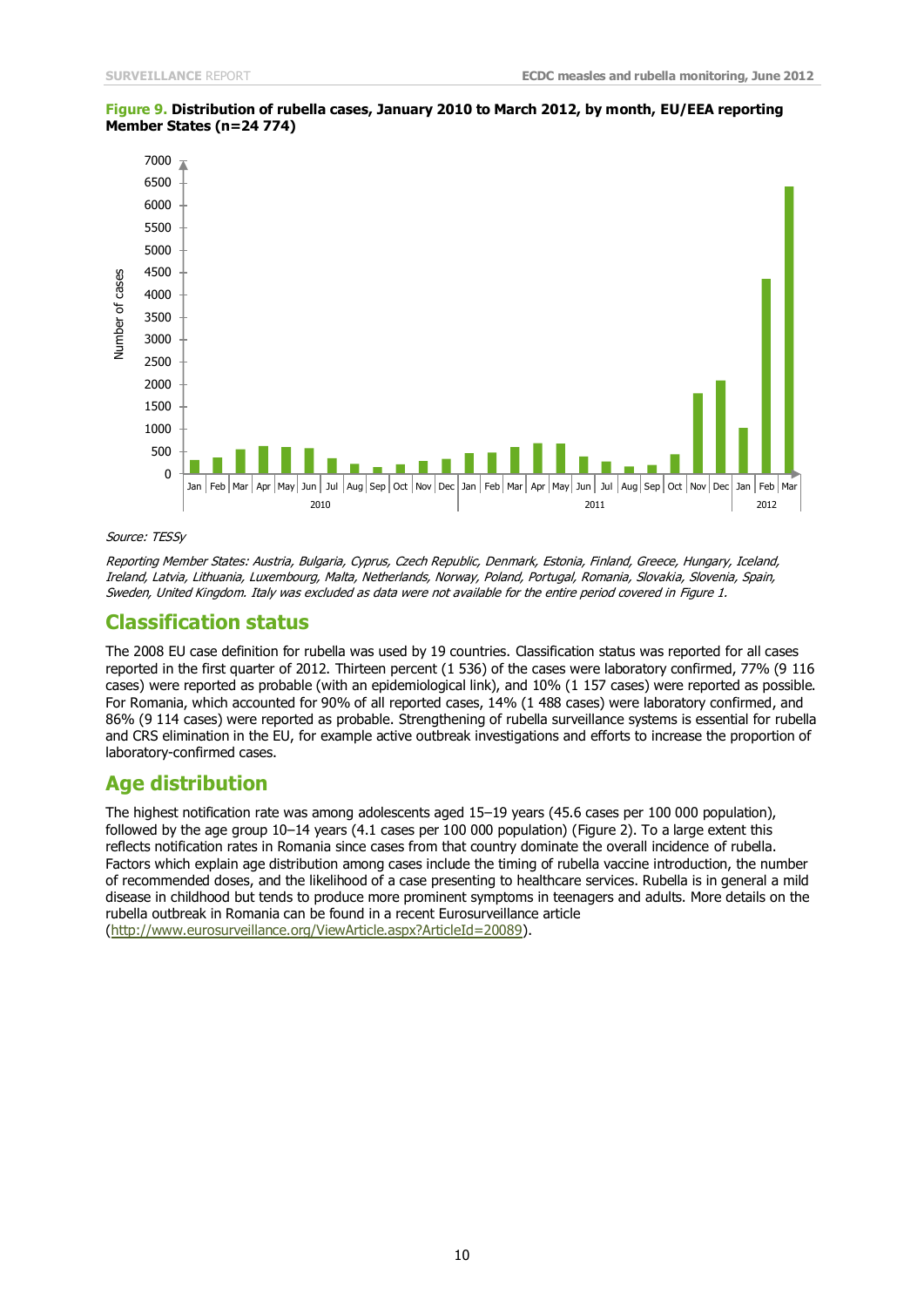

#### **Figure 9. Distribution of rubella cases, January 2010 to March 2012, by month, EU/EEA reporting Member States (n=24 774)**

#### Source: TESSy

Reporting Member States: Austria, Bulgaria, Cyprus, Czech Republic, Denmark, Estonia, Finland, Greece, Hungary, Iceland, Ireland, Latvia, Lithuania, Luxembourg, Malta, Netherlands, Norway, Poland, Portugal, Romania, Slovakia, Slovenia, Spain, Sweden, United Kingdom. Italy was excluded as data were not available for the entire period covered in Figure 1.

### **Classification status**

The 2008 EU case definition for rubella was used by 19 countries. Classification status was reported for all cases reported in the first quarter of 2012. Thirteen percent (1 536) of the cases were laboratory confirmed, 77% (9 116 cases) were reported as probable (with an epidemiological link), and 10% (1 157 cases) were reported as possible. For Romania, which accounted for 90% of all reported cases, 14% (1 488 cases) were laboratory confirmed, and 86% (9 114 cases) were reported as probable. Strengthening of rubella surveillance systems is essential for rubella and CRS elimination in the EU, for example active outbreak investigations and efforts to increase the proportion of laboratory-confirmed cases.

### **Age distribution**

The highest notification rate was among adolescents aged 15–19 years (45.6 cases per 100 000 population), followed by the age group 10–14 years (4.1 cases per 100 000 population) (Figure 2). To a large extent this reflects notification rates in Romania since cases from that country dominate the overall incidence of rubella. Factors which explain age distribution among cases include the timing of rubella vaccine introduction, the number of recommended doses, and the likelihood of a case presenting to healthcare services. Rubella is in general a mild disease in childhood but tends to produce more prominent symptoms in teenagers and adults. More details on the rubella outbreak in Romania can be found in a recent Eurosurveillance article [\(http://www.eurosurveillance.org/ViewArticle.aspx?ArticleId=20089\)](http://www.eurosurveillance.org/ViewArticle.aspx?ArticleId=20089).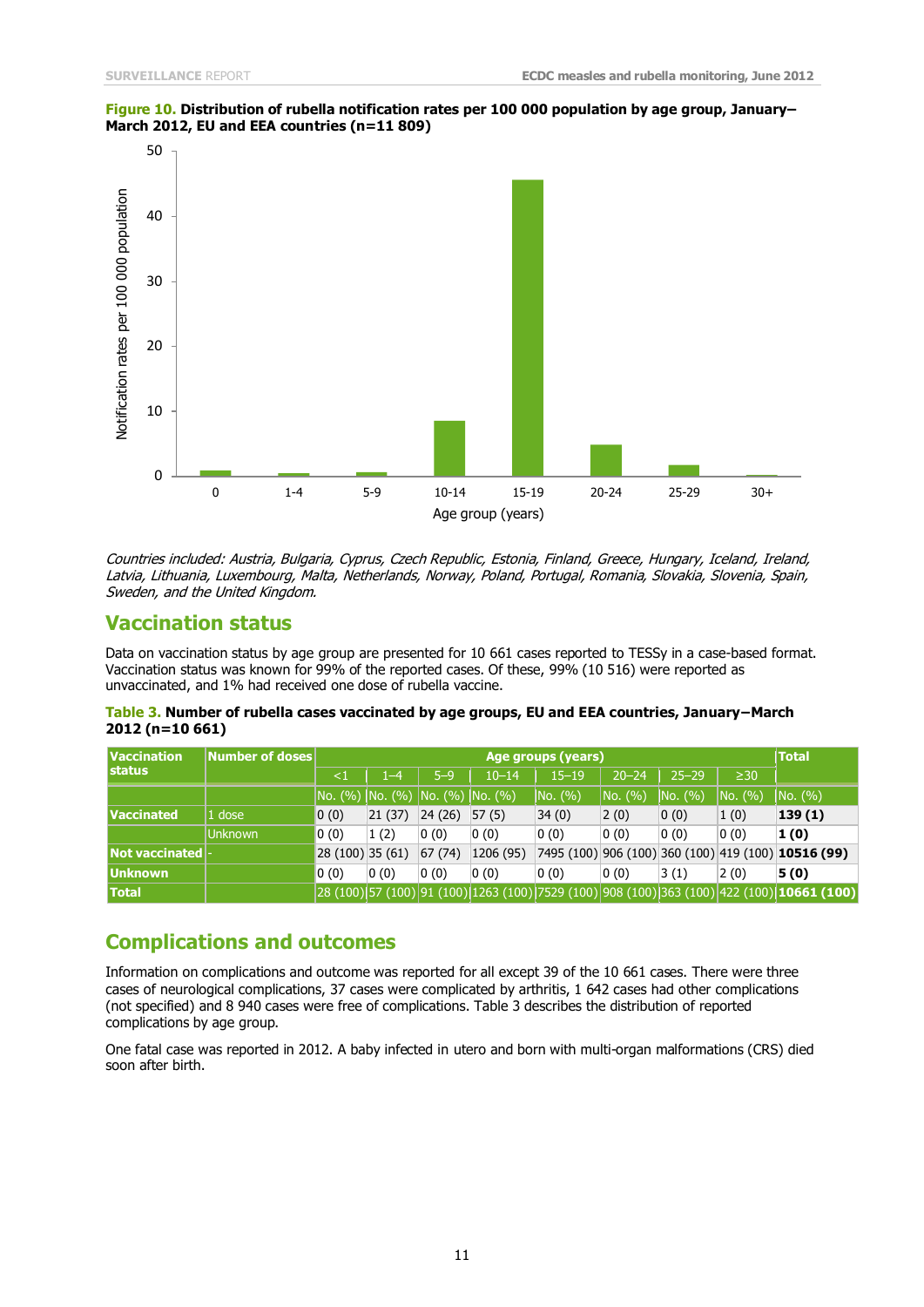### **Figure 10. Distribution of rubella notification rates per 100 000 population by age group, January– March 2012, EU and EEA countries (n=11 809)**



Countries included: Austria, Bulgaria, Cyprus, Czech Republic, Estonia, Finland, Greece, Hungary, Iceland, Ireland, Latvia, Lithuania, Luxembourg, Malta, Netherlands, Norway, Poland, Portugal, Romania, Slovakia, Slovenia, Spain, Sweden, and the United Kingdom.

## **Vaccination status**

Data on vaccination status by age group are presented for 10 661 cases reported to TESSy in a case-based format. Vaccination status was known for 99% of the reported cases. Of these, 99% (10 516) were reported as unvaccinated, and 1% had received one dose of rubella vaccine.

| Table 3. Number of rubella cases vaccinated by age groups, EU and EEA countries, January–March |  |
|------------------------------------------------------------------------------------------------|--|
| 2012 (n=10 661)                                                                                |  |

| <b>Vaccination</b> | Number of doses |                                                  | <b>Total</b> |                                    |           |           |           |           |           |                                                                                                                                                                                                                |
|--------------------|-----------------|--------------------------------------------------|--------------|------------------------------------|-----------|-----------|-----------|-----------|-----------|----------------------------------------------------------------------------------------------------------------------------------------------------------------------------------------------------------------|
| <b>Istatus</b>     |                 | ${<}1$                                           | 1–4          | $5 - 9$                            | $10 - 14$ | $15 - 19$ | $20 - 24$ | $25 - 29$ | $\geq$ 30 |                                                                                                                                                                                                                |
|                    |                 |                                                  |              | No. (%)  No. (%)  No. (%)  No. (%) |           | NO. (%)   | NO. (%)   | NO. (%)   | NO. (%)   | NO. (%)                                                                                                                                                                                                        |
| <b>Vaccinated</b>  | 1 dose          | 0(0)                                             | 21(37)       | 24(26)                             | 57(5)     | 34(0)     | 2(0)      | 0(0)      | 1(0)      | 139(1)                                                                                                                                                                                                         |
|                    | <b>IUnknown</b> | 0(0)                                             | 1(2)         | 0(0)                               | 0(0)      | 0(0)      | 0(0)      | 0(0)      | 0(0)      | 1(0)                                                                                                                                                                                                           |
| Not vaccinated   - |                 | $\vert 28 \vert (100) \vert 35 \vert (61) \vert$ |              | 67(74)                             | 1206 (95) |           |           |           |           | 7495 (100) 906 (100) 360 (100) 419 (100) 10516 (99)                                                                                                                                                            |
| <b>Unknown</b>     |                 | 0(0)                                             | 0(0)         | 0(0)                               | 0(0)      | 0(0)      | 0(0)      | 3(1)      | 2(0)      | 5(0)                                                                                                                                                                                                           |
| <b>Total</b>       |                 |                                                  |              |                                    |           |           |           |           |           | $\left 28\left(100\right)\right $ 57 (100) $\left 91\left(100\right)\right $ 1263 (100) $\left 7529\left(100\right)\right $ 908 (100) $\left 363\left(100\right)\right $ 422 (100) $\left 1$ <b>0661 (100)</b> |

## **Complications and outcomes**

Information on complications and outcome was reported for all except 39 of the 10 661 cases. There were three cases of neurological complications, 37 cases were complicated by arthritis, 1 642 cases had other complications (not specified) and 8 940 cases were free of complications. Table 3 describes the distribution of reported complications by age group.

One fatal case was reported in 2012. A baby infected in utero and born with multi-organ malformations (CRS) died soon after birth.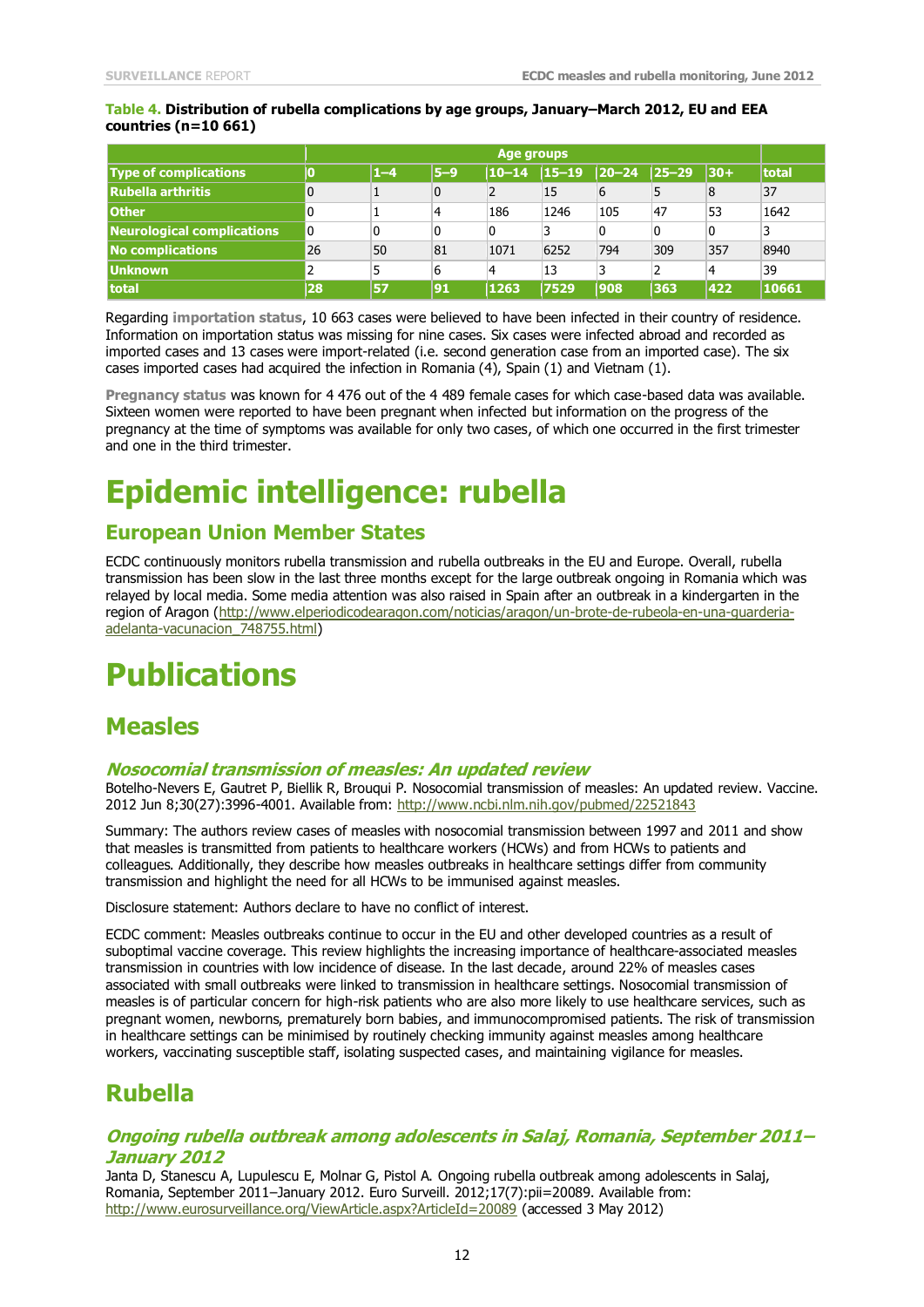### **Table 4. Distribution of rubella complications by age groups, January–March 2012, EU and EEA countries (n=10 661)**

|                                   | Age groups |         |                |           |           |             |             |                |       |  |  |  |
|-----------------------------------|------------|---------|----------------|-----------|-----------|-------------|-------------|----------------|-------|--|--|--|
| <b>Type of complications</b>      |            | $1 - 4$ | $5-9$          | $10 - 14$ | $15 - 19$ | $ 20 - 24 $ | $ 25 - 29 $ | $ 30+$         | total |  |  |  |
| Rubella arthritis                 |            |         | $\overline{0}$ |           | 15        | 6           |             | 8              | 37    |  |  |  |
| <b>Other</b>                      |            |         | 4              | 186       | 1246      | 105         | 47          | 53             | 1642  |  |  |  |
| <b>Neurological complications</b> |            |         | 0              |           | 3         | 0           | 0           | $\overline{0}$ |       |  |  |  |
| No complications                  | 26         | 50      | 81             | 1071      | 6252      | 794         | 309         | 357            | 8940  |  |  |  |
| <b>Unknown</b>                    |            |         | 6              |           | 13        |             |             | 4              | 39    |  |  |  |
| <b>Itotal</b>                     | 28         | 57      | 91             | 1263      | 7529      | 1908        | 363         | 422            | 10661 |  |  |  |

Regarding **importation status**, 10 663 cases were believed to have been infected in their country of residence. Information on importation status was missing for nine cases. Six cases were infected abroad and recorded as imported cases and 13 cases were import-related (i.e. second generation case from an imported case). The six cases imported cases had acquired the infection in Romania  $(4)$ , Spain (1) and Vietnam (1).

**Pregnancy status** was known for 4 476 out of the 4 489 female cases for which case-based data was available. Sixteen women were reported to have been pregnant when infected but information on the progress of the pregnancy at the time of symptoms was available for only two cases, of which one occurred in the first trimester and one in the third trimester.

# **Epidemic intelligence: rubella**

## **European Union Member States**

ECDC continuously monitors rubella transmission and rubella outbreaks in the EU and Europe. Overall, rubella transmission has been slow in the last three months except for the large outbreak ongoing in Romania which was relayed by local media. Some media attention was also raised in Spain after an outbreak in a kindergarten in the region of Aragon [\(http://www.elperiodicodearagon.com/noticias/aragon/un-brote-de-rubeola-en-una-guarderia](http://www.elperiodicodearagon.com/noticias/aragon/un-brote-de-rubeola-en-una-guarderia-adelanta-vacunacion_748755.html)[adelanta-vacunacion\\_748755.html\)](http://www.elperiodicodearagon.com/noticias/aragon/un-brote-de-rubeola-en-una-guarderia-adelanta-vacunacion_748755.html)

# **Publications**

## **Measles**

### **Nosocomial transmission of measles: An updated review**

Botelho-Nevers E, Gautret P, Biellik R, Brouqui P. Nosocomial transmission of measles: An updated review. Vaccine. 2012 Jun 8;30(27):3996-4001. Available from[: http://www.ncbi.nlm.nih.gov/pubmed/22521843](http://www.ncbi.nlm.nih.gov/pubmed/22521843)

Summary: The authors review cases of measles with nosocomial transmission between 1997 and 2011 and show that measles is transmitted from patients to healthcare workers (HCWs) and from HCWs to patients and colleagues. Additionally, they describe how measles outbreaks in healthcare settings differ from community transmission and highlight the need for all HCWs to be immunised against measles.

Disclosure statement: Authors declare to have no conflict of interest.

ECDC comment: Measles outbreaks continue to occur in the EU and other developed countries as a result of suboptimal vaccine coverage. This review highlights the increasing importance of healthcare-associated measles transmission in countries with low incidence of disease. In the last decade, around 22% of measles cases associated with small outbreaks were linked to transmission in healthcare settings. Nosocomial transmission of measles is of particular concern for high-risk patients who are also more likely to use healthcare services, such as pregnant women, newborns, prematurely born babies, and immunocompromised patients. The risk of transmission in healthcare settings can be minimised by routinely checking immunity against measles among healthcare workers, vaccinating susceptible staff, isolating suspected cases, and maintaining vigilance for measles.

# **Rubella**

### **Ongoing rubella outbreak among adolescents in Salaj, Romania, September 2011– January 2012**

Janta D, Stanescu A, Lupulescu E, Molnar G, Pistol A. Ongoing rubella outbreak among adolescents in Salaj, Romania, September 2011–January 2012. Euro Surveill. 2012;17(7):pii=20089. Available from: <http://www.eurosurveillance.org/ViewArticle.aspx?ArticleId=20089> (accessed 3 May 2012)